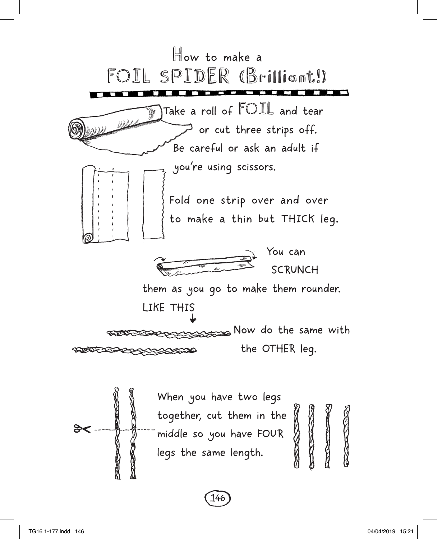

146